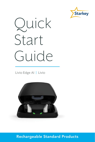

# Quick Start Guide

Livio Edge AI | Livio



#### Rechargeable Standard Products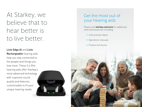At Starkey, we believe that to hear better is to live better.

Livio Edge AI and Livio Rechargeable hearing aids help you stay connected to the people and things you love most. These 2.4 GHz hearing aids offer Starkey's most advanced technology with supreme sound quality and features, customizable to fit your unique hearing needs.



#### Get the most out of your hearing aids

Please visit **starkey.com/care** for additional tools and resources including:

- Instructional videos
- Operations manuals
- Product brochures

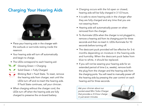#### Charging Your Hearing Aids



- Place your hearing aids in the charger with the earbuds or earmolds resting inside the reservoir.
- Your hearing aids will turn off automatically and begin to charge.
- The LEDs correspond to each hearing aid:
- Glowing Green = Charging
	- Solid Green = Fully Charged
		- Blinking Red = Fault State. To reset, remove
- くにょう the hearing aids from charger, wait until the LEDs turn off and re-insert the hearing aids. If Fault State continues, call your clinician.
- When charging without the charger cord, the LEDs turn off when the hearing aids are fully charged to preserve the on-board battery.
- Charging occurs with the lid open or closed; hearing aids will be fully charged in 3 1/2 hours.
- It is safe to store hearing aids in the charger after they are fully charged and any time that you are not wearing them.
- Hearing aids will automatically power on when removed from the charger.
- To illuminate LEDs when the charger is not plugged in, remove a hearing aid from its charging port for three seconds and then re-insert it. LEDs illuminate for 10 seconds before turning off.
- The desiccant puck provided will be effective for 3–6 months depending on moisture in the hearing aids and humidity. When the desiccant puck fades from blue to white, it should be replaced.
- If you will not be wearing your hearing aids for an extended period of time (i.e, weeks), remove both the plug from the charger and the hearing aids from the charging ports. You will need to manually power off the hearing aids by pressing the user control on each hearing aid for three seconds.

*Ask your clinician about our pocket-sized Mini Turbo Charger that provides a 3.5-hour charge in just seven minutes.*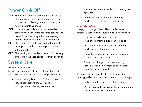## Power On & Off

- ON The hearing aids will power on automatically after removing them from the charger. There is a delay that allows you time to insert your hearing aid into your ear.
- ON If the hearing aid is manually powered off, pressing the user control for three seconds will power it on. The delay still exists to give you time to insert the hearing aid into your ear.
- OFF The hearing aids will power off automatically when placed in the charging port. Charging will proceed.
- OFF The hearing aids can be powered off manually by pressing the user control for three seconds.

## System Care

#### HEARING AID CARE

Keep your hearing aid clean. Heat, moisture and foreign substances can result in poor performance.

• Use a cleaning brush or soft cloth to clean debris from around the user control, microphone and battery compartment.

- Inspect the receiver, earbud and wax guard regularly.
- Never use water, solvents, cleaning fluids or oil to clean your hearing aid.

#### CHARGER CARE

Keep your charger clean. Heat, moisture and foreign materials can result in poor performance.

- Use the provided cleaning brush to keep the charging ports clear of debris.
- Do not use water, solvents or cleaning fluids to clean the charging ports.
- Keep the lid closed as much as possible to avoid dust and debris buildup.
- Store your charger in a clean and dry location such as a dresser or shelf rather than the bathroom or kitchen.

To ensure the longest life of your rechargeable hearing aid batteries and the batteries in the charger:

- Fully charge hearing aid batteries every night.
- Do not expose to excess heat, i.e., do not store on a window sill or in a hot car.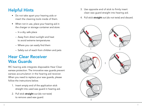# Helpful Hints

- Do not take apart your hearing aids or insert the cleaning tools inside of them.
- When not in use, place your hearing aid in the charger or storage container and store:
	- In a dry, safe place
	- Away from direct sunlight and heat to avoid extreme temperatures
	- $-$  Where you can easily find them
	- Safely out of reach from children and pets

### Hear Clear Receiver Wax Guards

RIC hearing aids integrate disposable Hear Clear earwax protection. The innovative wax guards prevent earwax accumulation in the hearing aid receiver. When you need to replace your wax guards, please follow the instructions below.

- 1. Insert empty end of the application stick straight into used wax guard in hearing aid.
- 2. Pull stick straight out (do not twist) to remove used wax guard.
- 3. Use opposite end of stick to firmly insert clean wax guard straight into hearing aid.
- 4. Pull stick straight out (do not twist) and discard.

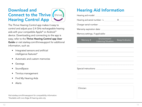## Download and **Connect to the Thrive (thrive)** Hearing Control App



The Thrive Hearing Control app makes it easy to control and adjust your 2.4 GHz rechargeable hearing aids with your compatible Apple® or Android™ device. Downloading and connecting to the app is easy; refer to the Thrive Hearing Control app User Guide or visit starkey.com/thrivesupport for additional information, such as:

- Integrated sensors and artificial intelligence features\*
- Automatic and custom memories
- Geotags
- SoundSpace
- Tinnitus management
- Find My Hearing Aids
- Alerts

*Visit starkey.com/thrivesupport for compatibility information. \*Available with Livio Edge AI hearing aids only.*

# Hearing Aid Information

|  |            | Hearing aid model: <b>Example 2019</b> |                |  |  |  |
|--|------------|----------------------------------------|----------------|--|--|--|
|  |            |                                        |                |  |  |  |
|  |            |                                        |                |  |  |  |
|  |            |                                        |                |  |  |  |
|  |            |                                        |                |  |  |  |
|  | Memory #   | Environment/<br>Listening Situation    | Beep/Indicator |  |  |  |
|  |            |                                        |                |  |  |  |
|  |            |                                        |                |  |  |  |
|  |            |                                        |                |  |  |  |
|  |            |                                        |                |  |  |  |
|  |            |                                        |                |  |  |  |
|  |            |                                        |                |  |  |  |
|  |            |                                        |                |  |  |  |
|  |            |                                        |                |  |  |  |
|  |            |                                        |                |  |  |  |
|  | Clinician: |                                        |                |  |  |  |
|  |            |                                        |                |  |  |  |
|  |            |                                        |                |  |  |  |
|  |            |                                        |                |  |  |  |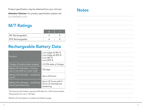Product specification may be obtained from your clinician.

Attention Clinician: For product specification please visit Gov.StarkeyPro.com.

### M/T Ratings

| RIC Rechargeable        |  |
|-------------------------|--|
| <b>BTE Rechargeable</b> |  |

#### Rechargeable Battery Data

| Product                                                                             | Livio Edge AI RIC R<br>Livio Edge AI BTE R<br>Livio RIC R<br>Livio BTE R |
|-------------------------------------------------------------------------------------|--------------------------------------------------------------------------|
| Charge of battery when shipped                                                      | >15.3% state of charge                                                   |
| Battery life estimates – hearing<br>aid on the shelf (i.e. drain rate) <sup>1</sup> | 120 days                                                                 |
| Battery life estimates - amplifying<br>sound                                        | Up to 24 hours                                                           |
| Battery life estimates - amplifying<br>sound and streaming <sup>2</sup>             | Up to 22 hours with 4<br>hours of smartphone<br>streaming                |

*1 The hearing aid's battery capacity shall allow for a 30-minute wireless fitting session for up to 120 days.*

*2 Results will vary based on wireless and feature usage.*

#### **Notes**

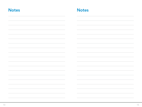| <b>Notes</b> | <b>Notes</b> |
|--------------|--------------|
|              |              |
|              |              |
|              |              |
|              |              |
|              |              |
|              |              |
|              |              |
|              |              |
|              |              |
|              |              |